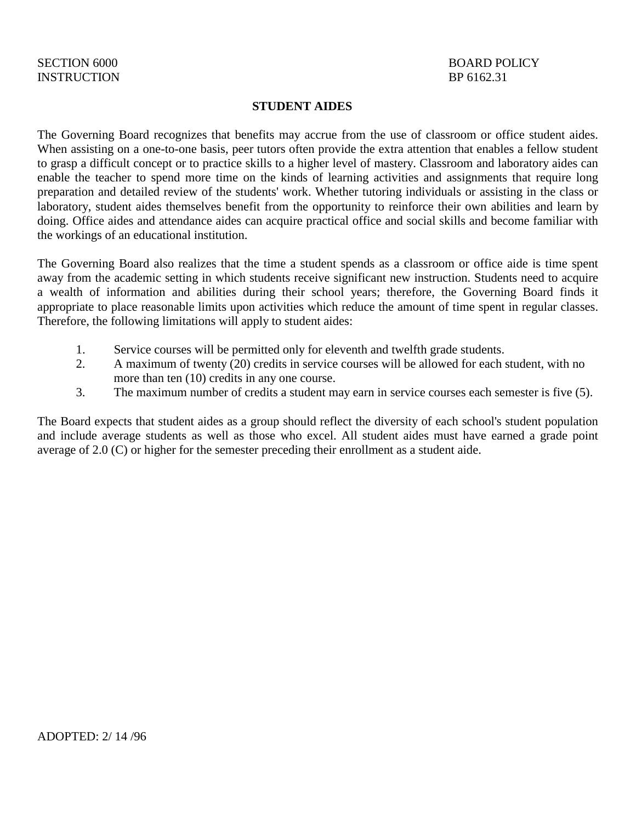## **STUDENT AIDES**

The Governing Board recognizes that benefits may accrue from the use of classroom or office student aides. When assisting on a one-to-one basis, peer tutors often provide the extra attention that enables a fellow student to grasp a difficult concept or to practice skills to a higher level of mastery. Classroom and laboratory aides can enable the teacher to spend more time on the kinds of learning activities and assignments that require long preparation and detailed review of the students' work. Whether tutoring individuals or assisting in the class or laboratory, student aides themselves benefit from the opportunity to reinforce their own abilities and learn by doing. Office aides and attendance aides can acquire practical office and social skills and become familiar with the workings of an educational institution.

The Governing Board also realizes that the time a student spends as a classroom or office aide is time spent away from the academic setting in which students receive significant new instruction. Students need to acquire a wealth of information and abilities during their school years; therefore, the Governing Board finds it appropriate to place reasonable limits upon activities which reduce the amount of time spent in regular classes. Therefore, the following limitations will apply to student aides:

- 1. Service courses will be permitted only for eleventh and twelfth grade students.
- 2. A maximum of twenty (20) credits in service courses will be allowed for each student, with no more than ten (10) credits in any one course.
- 3. The maximum number of credits a student may earn in service courses each semester is five (5).

The Board expects that student aides as a group should reflect the diversity of each school's student population and include average students as well as those who excel. All student aides must have earned a grade point average of 2.0 (C) or higher for the semester preceding their enrollment as a student aide.